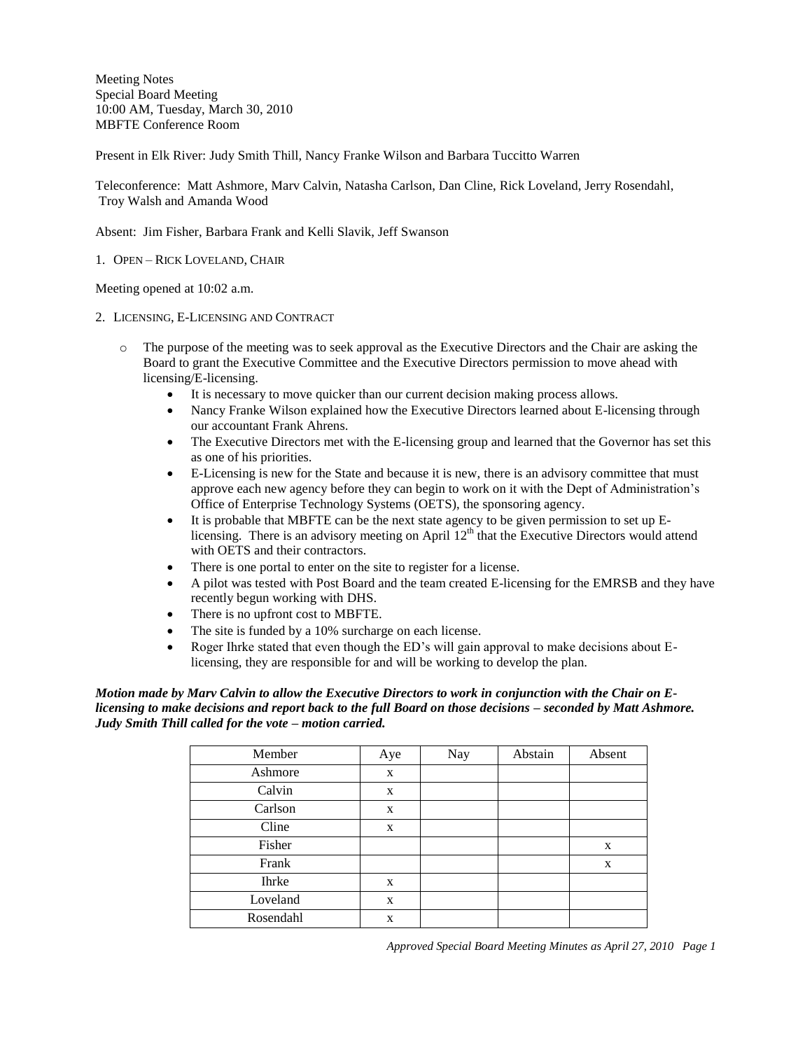Meeting Notes Special Board Meeting 10:00 AM, Tuesday, March 30, 2010 MBFTE Conference Room

Present in Elk River: Judy Smith Thill, Nancy Franke Wilson and Barbara Tuccitto Warren

Teleconference: Matt Ashmore, Marv Calvin, Natasha Carlson, Dan Cline, Rick Loveland, Jerry Rosendahl, Troy Walsh and Amanda Wood

Absent: Jim Fisher, Barbara Frank and Kelli Slavik, Jeff Swanson

1. OPEN – RICK LOVELAND, CHAIR

Meeting opened at 10:02 a.m.

- 2. LICENSING, E-LICENSING AND CONTRACT
	- o The purpose of the meeting was to seek approval as the Executive Directors and the Chair are asking the Board to grant the Executive Committee and the Executive Directors permission to move ahead with licensing/E-licensing.
		- It is necessary to move quicker than our current decision making process allows.
		- Nancy Franke Wilson explained how the Executive Directors learned about E-licensing through our accountant Frank Ahrens.
		- The Executive Directors met with the E-licensing group and learned that the Governor has set this as one of his priorities.
		- E-Licensing is new for the State and because it is new, there is an advisory committee that must approve each new agency before they can begin to work on it with the Dept of Administration's Office of Enterprise Technology Systems (OETS), the sponsoring agency.
		- It is probable that MBFTE can be the next state agency to be given permission to set up Elicensing. There is an advisory meeting on April  $12<sup>th</sup>$  that the Executive Directors would attend with OETS and their contractors.
		- There is one portal to enter on the site to register for a license.
		- A pilot was tested with Post Board and the team created E-licensing for the EMRSB and they have recently begun working with DHS.
		- There is no upfront cost to MBFTE.
		- The site is funded by a 10% surcharge on each license.
		- Roger Ihrke stated that even though the ED's will gain approval to make decisions about Elicensing, they are responsible for and will be working to develop the plan.

*Motion made by Marv Calvin to allow the Executive Directors to work in conjunction with the Chair on Elicensing to make decisions and report back to the full Board on those decisions – seconded by Matt Ashmore. Judy Smith Thill called for the vote – motion carried.*

| Member       | Aye | Nay | Abstain | Absent |
|--------------|-----|-----|---------|--------|
| Ashmore      | X   |     |         |        |
| Calvin       | X   |     |         |        |
| Carlson      | X   |     |         |        |
| Cline        | X   |     |         |        |
| Fisher       |     |     |         | X      |
| Frank        |     |     |         | X      |
| <b>Ihrke</b> | X   |     |         |        |
| Loveland     | X   |     |         |        |
| Rosendahl    | X   |     |         |        |

*Approved Special Board Meeting Minutes as April 27, 2010 Page 1*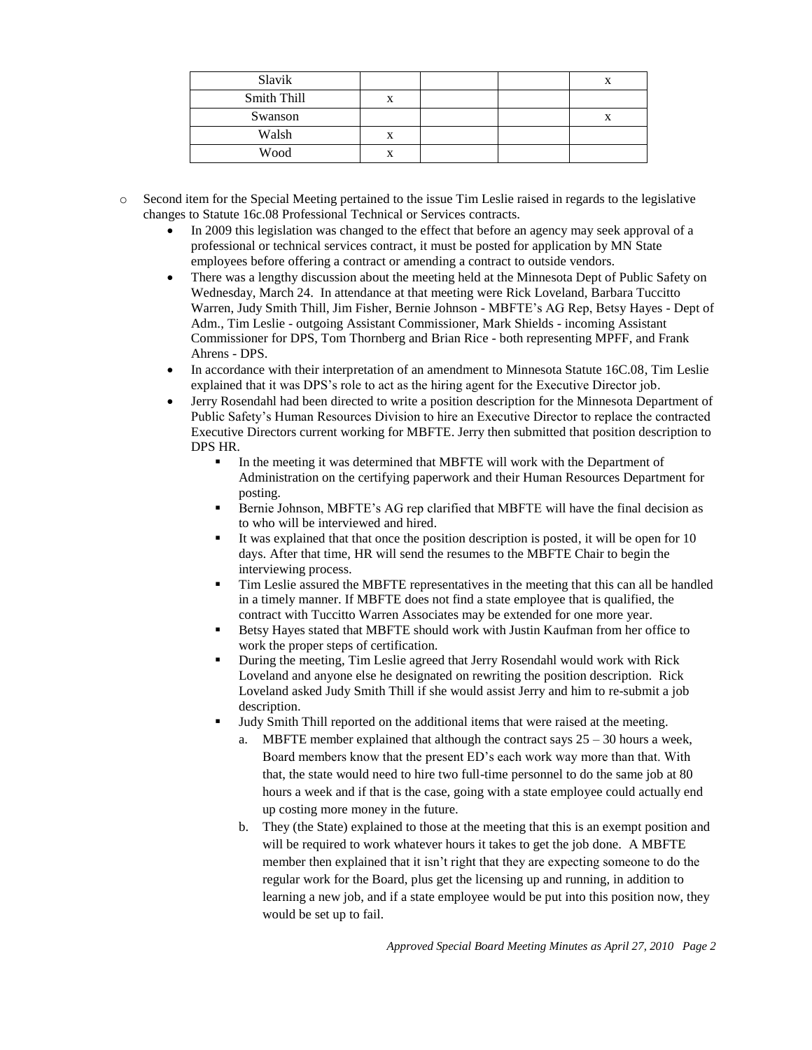| Slavik      |        |  | Δ |
|-------------|--------|--|---|
| Smith Thill | X      |  |   |
| Swanson     |        |  | л |
| Walsh       | v<br>л |  |   |
| Wood        | X      |  |   |

o Second item for the Special Meeting pertained to the issue Tim Leslie raised in regards to the legislative changes to Statute 16c.08 Professional Technical or Services contracts.

- In 2009 this legislation was changed to the effect that before an agency may seek approval of a professional or technical services contract, it must be posted for application by MN State employees before offering a contract or amending a contract to outside vendors.
- There was a lengthy discussion about the meeting held at the Minnesota Dept of Public Safety on Wednesday, March 24. In attendance at that meeting were Rick Loveland, Barbara Tuccitto Warren, Judy Smith Thill, Jim Fisher, Bernie Johnson - MBFTE's AG Rep, Betsy Hayes - Dept of Adm., Tim Leslie - outgoing Assistant Commissioner, Mark Shields - incoming Assistant Commissioner for DPS, Tom Thornberg and Brian Rice - both representing MPFF, and Frank Ahrens - DPS.
- In accordance with their interpretation of an amendment to Minnesota Statute 16C.08, Tim Leslie explained that it was DPS's role to act as the hiring agent for the Executive Director job.
- Jerry Rosendahl had been directed to write a position description for the Minnesota Department of Public Safety's Human Resources Division to hire an Executive Director to replace the contracted Executive Directors current working for MBFTE. Jerry then submitted that position description to DPS HR.
	- In the meeting it was determined that MBFTE will work with the Department of Administration on the certifying paperwork and their Human Resources Department for posting.
	- Bernie Johnson, MBFTE's AG rep clarified that MBFTE will have the final decision as to who will be interviewed and hired.
	- It was explained that that once the position description is posted, it will be open for 10 days. After that time, HR will send the resumes to the MBFTE Chair to begin the interviewing process.
	- Tim Leslie assured the MBFTE representatives in the meeting that this can all be handled in a timely manner. If MBFTE does not find a state employee that is qualified, the contract with Tuccitto Warren Associates may be extended for one more year.
	- Betsy Hayes stated that MBFTE should work with Justin Kaufman from her office to work the proper steps of certification.
	- During the meeting, Tim Leslie agreed that Jerry Rosendahl would work with Rick Loveland and anyone else he designated on rewriting the position description. Rick Loveland asked Judy Smith Thill if she would assist Jerry and him to re-submit a job description.
	- Judy Smith Thill reported on the additional items that were raised at the meeting.
		- a. MBFTE member explained that although the contract says  $25 30$  hours a week, Board members know that the present ED's each work way more than that. With that, the state would need to hire two full-time personnel to do the same job at 80 hours a week and if that is the case, going with a state employee could actually end up costing more money in the future.
		- b. They (the State) explained to those at the meeting that this is an exempt position and will be required to work whatever hours it takes to get the job done. A MBFTE member then explained that it isn't right that they are expecting someone to do the regular work for the Board, plus get the licensing up and running, in addition to learning a new job, and if a state employee would be put into this position now, they would be set up to fail.